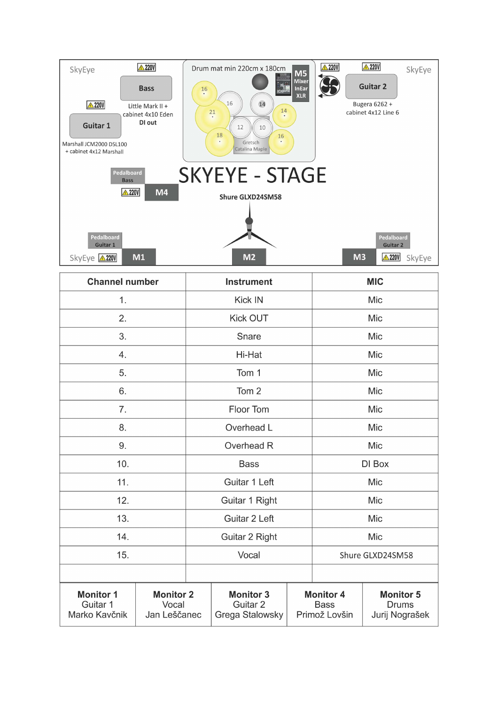

| <b>Channel number</b>                         |                                           | <b>Instrument</b> |                                                            |                                                  | <b>MIC</b>       |                                                    |
|-----------------------------------------------|-------------------------------------------|-------------------|------------------------------------------------------------|--------------------------------------------------|------------------|----------------------------------------------------|
| 1.                                            |                                           | Kick IN           |                                                            |                                                  | Mic              |                                                    |
| 2.                                            |                                           | <b>Kick OUT</b>   |                                                            |                                                  | Mic              |                                                    |
| 3.                                            |                                           | Snare             |                                                            |                                                  | Mic              |                                                    |
| 4.                                            |                                           | Hi-Hat            |                                                            |                                                  | Mic              |                                                    |
| 5.                                            |                                           | Tom 1             |                                                            |                                                  | Mic              |                                                    |
| 6.                                            |                                           | Tom <sub>2</sub>  |                                                            |                                                  | Mic              |                                                    |
| 7.                                            |                                           | Floor Tom         |                                                            |                                                  | Mic              |                                                    |
| 8.                                            |                                           | Overhead L        |                                                            |                                                  | Mic              |                                                    |
| 9.                                            |                                           | Overhead R        |                                                            |                                                  | Mic              |                                                    |
| 10.                                           |                                           | <b>Bass</b>       |                                                            |                                                  | DI Box           |                                                    |
| 11.                                           |                                           | Guitar 1 Left     |                                                            |                                                  | Mic              |                                                    |
| 12.                                           |                                           | Guitar 1 Right    |                                                            |                                                  | Mic              |                                                    |
| 13.                                           |                                           | Guitar 2 Left     |                                                            |                                                  | Mic              |                                                    |
| 14.                                           |                                           | Guitar 2 Right    |                                                            |                                                  | Mic              |                                                    |
| 15.                                           |                                           | Vocal             |                                                            |                                                  | Shure GLXD24SM58 |                                                    |
|                                               |                                           |                   |                                                            |                                                  |                  |                                                    |
| <b>Monitor 1</b><br>Guitar 1<br>Marko Kavčnik | <b>Monitor 2</b><br>Vocal<br>Jan Leščanec |                   | <b>Monitor 3</b><br>Guitar <sub>2</sub><br>Grega Stalowsky | <b>Monitor 4</b><br><b>Bass</b><br>Primož Lovšin |                  | <b>Monitor 5</b><br><b>Drums</b><br>Jurij Nograšek |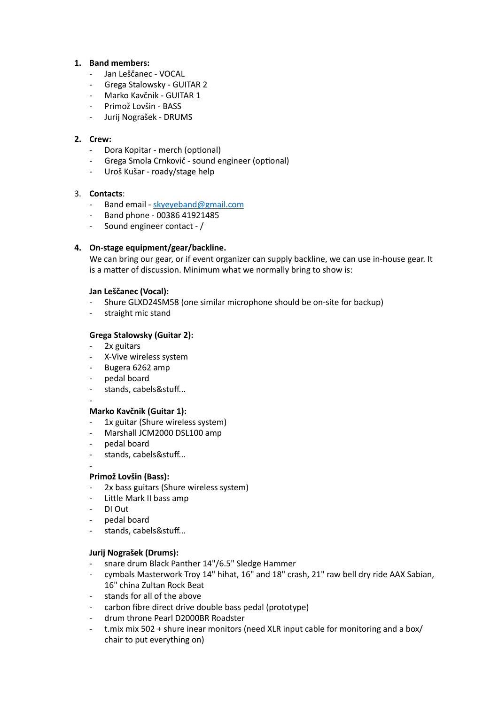# **1. Band members:**

- Jan Leščanec VOCAL
- Grega Stalowsky GUITAR 2
- Marko Kavčnik GUITAR 1
- Primož Lovšin BASS
- Jurij Nograšek DRUMS

## **2. Crew:**

- Dora Kopitar merch (optional)
- Grega Smola Crnkovič sound engineer (optional)
- Uroš Kušar roady/stage help

# 3. **Contacts**:

- Band email - [skyeyeband@gmail.com](mailto:skyeyeband@gmail.com)
- Band phone 00386 41921485
- Sound engineer contact /

# **4. On-stage equipment/gear/backline.**

We can bring our gear, or if event organizer can supply backline, we can use in-house gear. It is a matter of discussion. Minimum what we normally bring to show is:

## **Jan Leščanec (Vocal):**

- Shure GLXD24SM58 (one similar microphone should be on-site for backup)
- straight mic stand

# **Grega Stalowsky (Guitar 2):**

- 2x guitars
- X-Vive wireless system
- Bugera 6262 amp
- pedal board
- stands, cabels&stuff...
- -

## **Marko Kavčnik (Guitar 1):**

- 1x guitar (Shure wireless system)
- Marshall JCM2000 DSL100 amp
- pedal board
- stands, cabels&stuff...

#### - **Primož Lovšin (Bass):**

- 2x bass guitars (Shure wireless system)
- Little Mark II bass amp
- DI Out
- pedal board
- stands, cabels&stuff...

## **Jurij Nograšek (Drums):**

- snare drum Black Panther 14"/6.5" Sledge Hammer
- cymbals Masterwork Troy 14" hihat, 16" and 18" crash, 21" raw bell dry ride AAX Sabian, 16" china Zultan Rock Beat
- stands for all of the above
- carbon fibre direct drive double bass pedal (prototype)
- drum throne Pearl D2000BR Roadster
- t.mix mix 502 + shure inear monitors (need XLR input cable for monitoring and a box/ chair to put everything on)